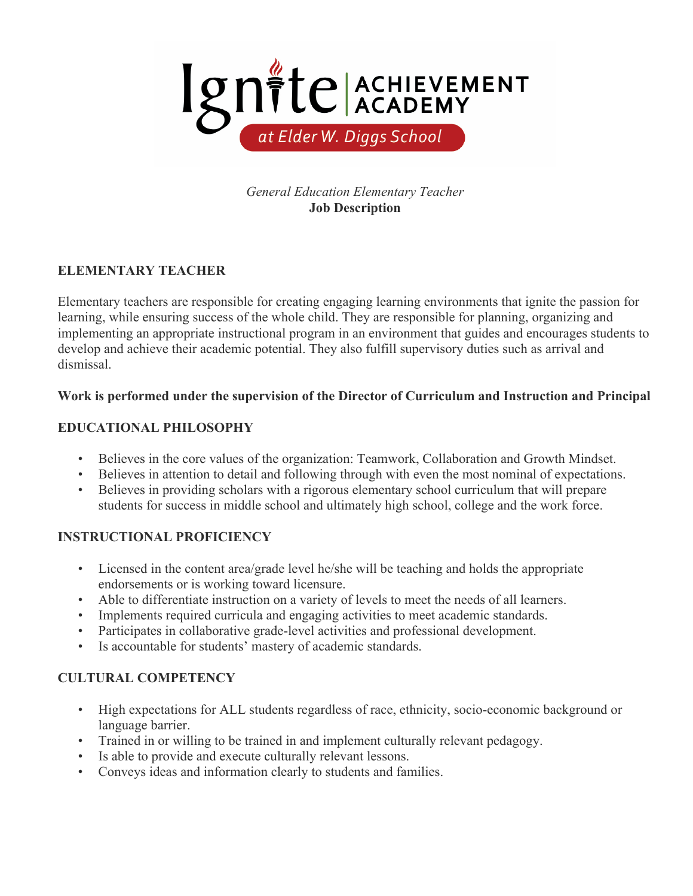

*General Education Elementary Teacher* **Job Description**

# **ELEMENTARY TEACHER**

Elementary teachers are responsible for creating engaging learning environments that ignite the passion for learning, while ensuring success of the whole child. They are responsible for planning, organizing and implementing an appropriate instructional program in an environment that guides and encourages students to develop and achieve their academic potential. They also fulfill supervisory duties such as arrival and dismissal.

## **Work is performed under the supervision of the Director of Curriculum and Instruction and Principal**

## **EDUCATIONAL PHILOSOPHY**

- Believes in the core values of the organization: Teamwork, Collaboration and Growth Mindset.
- Believes in attention to detail and following through with even the most nominal of expectations.
- Believes in providing scholars with a rigorous elementary school curriculum that will prepare students for success in middle school and ultimately high school, college and the work force.

## **INSTRUCTIONAL PROFICIENCY**

- Licensed in the content area/grade level he/she will be teaching and holds the appropriate endorsements or is working toward licensure.
- Able to differentiate instruction on a variety of levels to meet the needs of all learners.
- Implements required curricula and engaging activities to meet academic standards.
- Participates in collaborative grade-level activities and professional development.
- Is accountable for students' mastery of academic standards.

## **CULTURAL COMPETENCY**

- High expectations for ALL students regardless of race, ethnicity, socio-economic background or language barrier.
- Trained in or willing to be trained in and implement culturally relevant pedagogy.
- Is able to provide and execute culturally relevant lessons.
- Conveys ideas and information clearly to students and families.